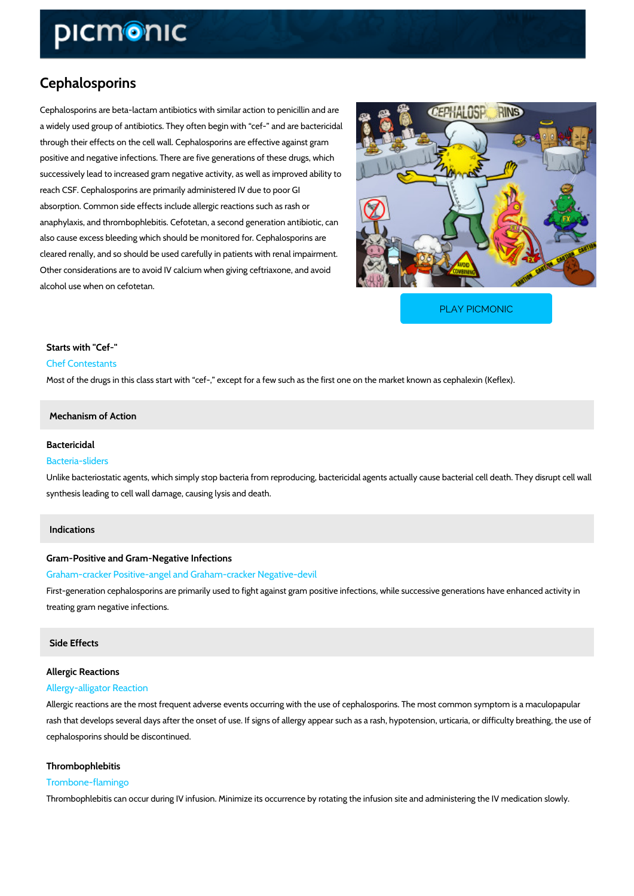# Cephalosporins

Cephalosporins are beta-lactam antibiotics with similar action to penicillin and are a widely used group of antibiotics. They often begin with cef- and are bactericidal through their effects on the cell wall. Cephalosporins are effective against gram positive and negative infections. There are five generations of these drugs, which successively lead to increased gram negative activity, as well as improved ability to reach CSF. Cephalosporins are primarily administered IV due to poor GI absorption. Common side effects include allergic reactions such as rash or anaphylaxis, and thrombophlebitis. Cefotetan, a second generation antibiotic, can also cause excess bleeding which should be monitored for. Cephalosporins are cleared renally, and so should be used carefully in patients with renal impairment. Other considerations are to avoid IV calcium when giving ceftriaxone, and avoid alcohol use when on cefotetan.

[PLAY PICMONIC](https://www.picmonic.com/learn/cephalosporins_1679?utm_source=downloadable_content&utm_medium=distributedcontent&utm_campaign=pathways_pdf&utm_content=Cephalosporins&utm_ad_group=leads&utm_market=all)

Starts with "Cef-" Chef Contestants Most of the drugs in this class start with cef-, except for a few such as the first one on the

#### Mechanism of Action

### Bactericidal Bacteria-sliders

## Unlike bacteriostatic agents, which simply stop bacteria from reproducing, bactericidal agents synthesis leading to cell wall damage, causing lysis and death.

#### Indications

Gram-Positive and Gram-Negative Infections Graham-cracker Positive-angel and Graham-cracker Negative-devil First-generation cephalosporins are primarily used to fight against gram positive infections, w treating gram negative infections.

## Side Effects

# Allergic Reactions

### Allergy-alligator Reaction

Allergic reactions are the most frequent adverse events occurring with the use of cephalospor rash that develops several days after the onset of use. If signs of allergy appear such as a ra cephalosporins should be discontinued.

# Thrombophlebitis

Trombone-flamingo

Thrombophlebitis can occur during IV infusion. Minimize its occurrence by rotating the infusio